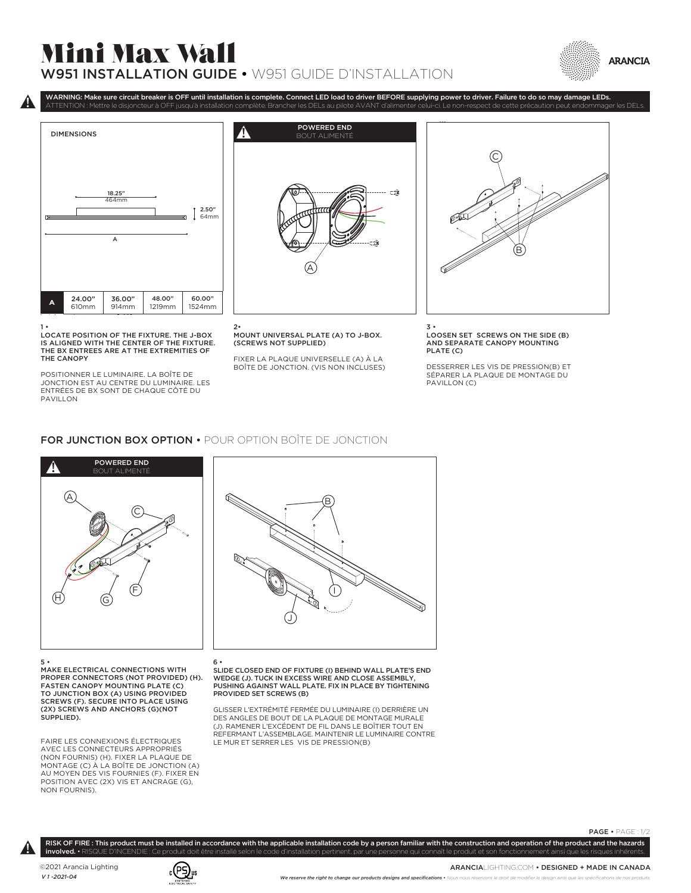## Mini Max Wall W951 INSTALLATION GUIDE • W951 GUIDE D'INSTALLATION





1 • LOCATE POSITION OF THE FIXTURE. THE J-BOX IS ALIGNED WITH THE CENTER OF THE FIXTURE. THE BX ENTREES ARE AT THE EXTREMITIES OF THE CANOPY

POSITIONNER LE LUMINAIRE. LA BOÎTE DE JONCTION EST AU CENTRE DU LUMINAIRE. LES ENTRÉES DE BX SONT DE CHAQUE CÔTÉ DU PAVILLON



WARNING: Make sure circuit breaker is OFF until installation is complete. Connect LED load to driver BEFORE supplying power to driver. Failure to do so may damage LEDs.

2• MOUNT UNIVERSAL PLATE (A) TO J-BOX. (SCREWS NOT SUPPLIED)

FIXER LA PLAQUE UNIVERSELLE (A) À LA BOÎTE DE JONCTION. (VIS NON INCLUSES)



3 • LOOSEN SET SCREWS ON THE SIDE (B) AND SEPARATE CANOPY MOUNTING PLATE (C)

DESSERRER LES VIS DE PRESSION(B) ET SÉPARER LA PLAQUE DE MONTAGE DU PAVILLON (C)

## FOR JUNCTION BOX OPTION • POUR OPTION BOÎTE DE JONCTION



5 • MAKE ELECTRICAL CONNECTIONS WITH PROPER CONNECTORS (NOT PROVIDED) (H). FASTEN CANOPY MOUNTING PLATE (C) TO JUNCTION BOX (A) USING PROVIDED SCREWS (F). SECURE INTO PLACE USING (2X) SCREWS AND ANCHORS (G)(NOT SUPPLIED).

FAIRE LES CONNEXIONS ÉLECTRIQUES AVEC LES CONNECTEURS APPROPRIÉS (NON FOURNIS) (H). FIXER LA PLAQUE DE MONTAGE (C) À LA BOÎTE DE JONCTION (A) AU MOYEN DES VIS FOURNIES (F). FIXER EN POSITION AVEC (2X) VIS ET ANCRAGE (G), NON FOURNIS).

## 6 •

SLIDE CLOSED END OF FIXTURE (I) BEHIND WALL PLATE'S END WEDGE (J). TUCK IN EXCESS WIRE AND CLOSE ASSEMBLY, PUSHING AGAINST WALL PLATE. FIX IN PLACE BY TIGHTENING PROVIDED SET SCREWS (B)

J

B

 $\left( \begin{array}{c} \end{array} \right)$ 

GLISSER L'EXTRÉMITÉ FERMÉE DU LUMINAIRE (I) DERRIÈRE UN DES ANGLES DE BOUT DE LA PLAQUE DE MONTAGE MURALE (J). RAMENER L'EXCÉDENT DE FIL DANS LE BOÎTIER TOUT EN REFERMANT L'ASSEMBLAGE. MAINTENIR LE LUMINAIRE CONTRE LE MUR ET SERRER LES VIS DE PRESSION(B)

RISK OF FIRE : This product must be installed in accordance with the applicable installation code by a person familiar with the construction and operation of the product and the hazards involved. • RISQUE D'INCENDIE : Ce produit doit être installé selon le code d'installation pertinent, par une personne qui connaît le produit et son fonctionnement ainsi que les risques inhérent

 $\pmb{\mathsf{p}}$ 

©2021 Arancia Lighting *V 1 -2021-04*



ARANCIALIGHTING.COM • DESIGNED + MADE IN CANADA

PAGE • PAGE : 1/2